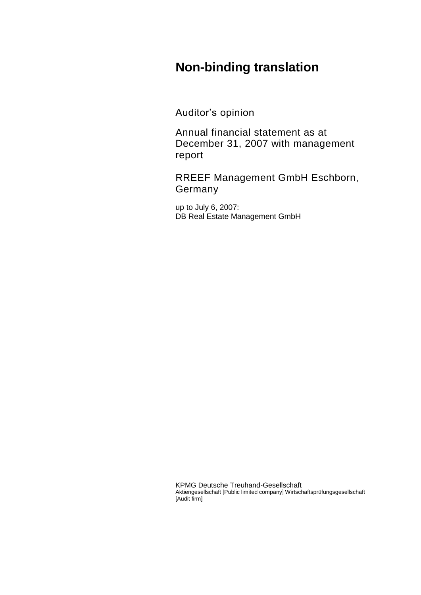# **Non-binding translation**

Auditor's opinion

Annual financial statement as at December 31, 2007 with management report

RREEF Management GmbH Eschborn, Germany

up to July 6, 2007: DB Real Estate Management GmbH

KPMG Deutsche Treuhand-Gesellschaft Aktiengesellschaft [Public limited company] Wirtschaftsprüfungsgesellschaft [Audit firm]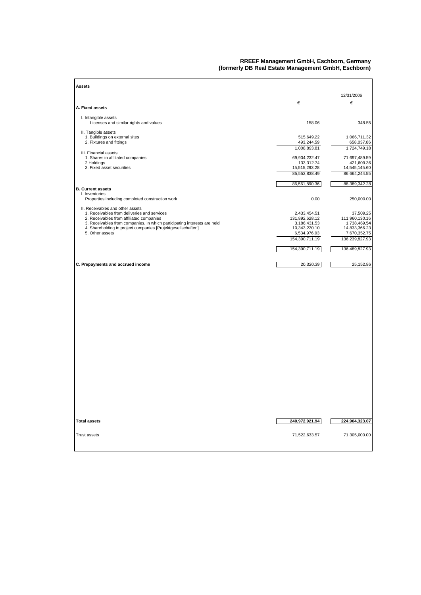#### **RREEF Management GmbH, Eschborn, Germany (formerly DB Real Estate Management GmbH, Eschborn)**

| Assets                                                                                  |                                 |                                 |
|-----------------------------------------------------------------------------------------|---------------------------------|---------------------------------|
|                                                                                         |                                 | 12/31/2006                      |
| A. Fixed assets                                                                         | €                               | €                               |
| I. Intangible assets                                                                    |                                 |                                 |
| Licenses and similar rights and values                                                  | 158.06                          | 348.55                          |
| II. Tangible assets<br>1. Buildings on external sites                                   | 515,649.22                      | 1,066,711.32                    |
| 2. Fixtures and fittings                                                                | 493,244.59<br>1,008,893.81      | 658,037.86<br>1,724,749.18      |
| III. Financial assets                                                                   |                                 |                                 |
| 1. Shares in affiliated companies<br>2 Holdings                                         | 69,904,232.47<br>133,312.74     | 71,697,489.59<br>421,609.36     |
| 3. Fixed asset securities                                                               | 15,515,293.28<br>85,552,838.49  | 14,545,145.60<br>86,664,244.55  |
|                                                                                         |                                 |                                 |
| <b>B. Current assets</b>                                                                | 86,561,890.36                   | 88,389,342.28                   |
| I. Inventories<br>Properties including completed construction work                      | 0.00                            | 250,000.00                      |
| II. Receivables and other assets                                                        |                                 |                                 |
| 1. Receivables from deliveries and services<br>2. Receivables from affiliated companies | 2,433,454.51<br>131,892,628.12  | 37,509.25<br>111,960,130.16     |
| 3. Receivables from companies, in which participating interests are held                | 3,186,431.53                    | 1,738,469.54                    |
| 4. Shareholding in project companies [Projektgesellschaften]<br>5. Other assets         | 10,343,220.10<br>6,534,976.93   | 14,833,366.23<br>7,670,352.75   |
|                                                                                         | 154,390,711.19                  | 136,239,827.93                  |
|                                                                                         | 154,390,711.19                  | 136,489,827.93                  |
| C. Prepayments and accrued income                                                       | 20,320.39                       | 25,152.86                       |
|                                                                                         |                                 |                                 |
| <b>Total assets</b><br><b>Trust assets</b>                                              | 240,972,921.94<br>71,522,633.57 | 224,904,323.07<br>71,305,000.00 |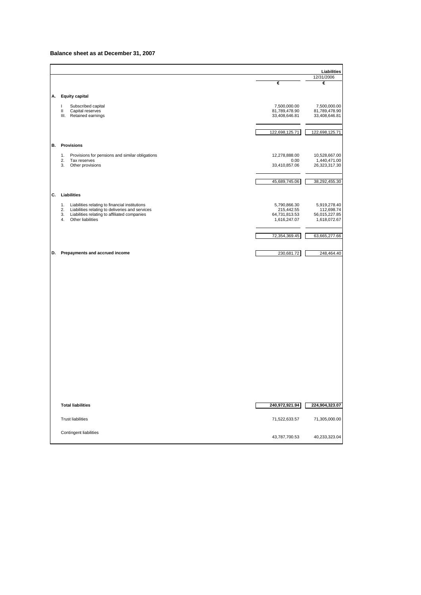#### **Balance sheet as at December 31, 2007**

|    |                                                                               |                                | Liabilities                    |
|----|-------------------------------------------------------------------------------|--------------------------------|--------------------------------|
|    |                                                                               |                                | 12/31/2006                     |
|    |                                                                               | €                              | €                              |
| А. | Equity capital                                                                |                                |                                |
|    | Subscribed capital<br>$\mathbf{I}$                                            | 7,500,000.00                   | 7,500,000.00                   |
|    | Capital reserves<br>Ш<br>Ш.<br>Retained earnings                              | 81,789,478.90<br>33,408,646.81 | 81,789,478.90<br>33,408,646.81 |
|    |                                                                               |                                |                                |
|    |                                                                               | 122,698,125.71                 | 122,698,125.71                 |
|    |                                                                               |                                |                                |
| В. | <b>Provisions</b>                                                             |                                |                                |
|    | 1.<br>Provisions for pensions and similar obligations                         | 12,278,888.00                  | 10,528,667.00                  |
|    | 2.<br>Tax reserves<br>Other provisions<br>3.                                  | 0.00<br>33,410,857.06          | 1,440,471.00<br>26,323,317.30  |
|    |                                                                               |                                |                                |
|    |                                                                               | 45,689,745.06                  | 38,292,455.30                  |
|    |                                                                               |                                |                                |
| C. | Liabilities                                                                   |                                |                                |
|    | 1.<br>Liabilities relating to financial institutions                          | 5,790,866.30                   | 5,919,278.40                   |
|    | Liabilities relating to deliveries and services<br>2.                         | 215,442.55                     | 112,698.74                     |
|    | Liabilities relating to affiliated companies<br>3.<br>Other liabilities<br>4. | 64,731,813.53<br>1,616,247.07  | 56,015,227.85<br>1,618,072.67  |
|    |                                                                               |                                |                                |
|    |                                                                               | 72,354,369.45                  | 63,665,277.66                  |
|    |                                                                               |                                |                                |
| D. | Prepayments and accrued income                                                | 230,681.72                     | 248,464.40                     |
|    |                                                                               |                                |                                |
|    |                                                                               |                                |                                |
|    |                                                                               |                                |                                |
|    |                                                                               |                                |                                |
|    |                                                                               |                                |                                |
|    |                                                                               |                                |                                |
|    |                                                                               |                                |                                |
|    |                                                                               |                                |                                |
|    |                                                                               |                                |                                |
|    |                                                                               |                                |                                |
|    |                                                                               |                                |                                |
|    |                                                                               |                                |                                |
|    |                                                                               |                                |                                |
|    |                                                                               |                                |                                |
|    |                                                                               |                                |                                |
|    |                                                                               |                                |                                |
|    |                                                                               |                                |                                |
|    |                                                                               |                                |                                |
|    | <b>Total liabilities</b>                                                      |                                |                                |
|    |                                                                               | 240,972,921.94                 | 224,904,323.07                 |
|    | <b>Trust liabilities</b>                                                      | 71,522,633.57                  | 71,305,000.00                  |
|    |                                                                               |                                |                                |
|    | Contingent liabilities                                                        | 43,787,700.53                  |                                |
|    |                                                                               |                                | 40,233,323.04                  |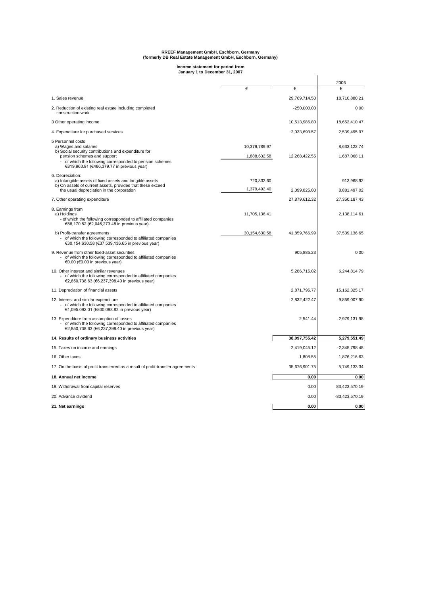# **RREEF Management GmbH, Eschborn, Germany (formerly DB Real Estate Management GmbH, Eschborn, Germany)**

# **Income statement for period from January 1 to December 31, 2007**

|                                                                                                                                                            | January 1 to December 31, 2007 |               |                              |
|------------------------------------------------------------------------------------------------------------------------------------------------------------|--------------------------------|---------------|------------------------------|
|                                                                                                                                                            |                                |               | 2006                         |
|                                                                                                                                                            | €                              | €             | €                            |
| 1. Sales revenue                                                                                                                                           |                                | 29,769,714.50 | 18,710,880.21                |
| 2. Reduction of existing real estate including completed<br>construction work                                                                              |                                | $-250,000.00$ | 0.00                         |
| 3 Other operating income                                                                                                                                   |                                | 10,513,986.80 | 18,652,410.47                |
| 4. Expenditure for purchased services                                                                                                                      |                                | 2,033,693.57  | 2,539,495.97                 |
| 5 Personnel costs<br>a) Wages and salaries<br>b) Social security contributions and expenditure for<br>pension schemes and support                          | 10,379,789.97<br>1,888,632.58  | 12,268,422.55 | 8,633,122.74<br>1,687,068.11 |
| - of which the following corresponded to pension schemes<br>€819,963.91 (€486,379.77 in previous year)                                                     |                                |               |                              |
| 6. Depreciation:<br>a) Intangible assets of fixed assets and tangible assets<br>b) On assets of current assets, provided that these exceed                 | 720,332.60                     |               | 913,968.92                   |
| the usual depreciation in the corporation                                                                                                                  | 1,379,492.40                   | 2,099,825.00  | 8,881,497.02                 |
| 7. Other operating expenditure                                                                                                                             |                                | 27,879,612.32 | 27,350,187.43                |
| 8. Earnings from<br>a) Holdings<br>- of which the following corresponded to affiliated companies<br>€86,170.82 (€2,046,273.48 in previous year).           | 11,705,136.41                  |               | 2,138,114.61                 |
| b) Profit-transfer agreements<br>- of which the following corresponded to affiliated companies<br>€30,154,630.58 (€37,539,136.65 in previous year)         | 30,154,630.58                  | 41,859,766.99 | 37,539,136.65                |
| 9. Revenue from other fixed-asset securities<br>- of which the following corresponded to affiliated companies<br>€0.00 (€0.00 in previous year)            |                                | 905,885.23    | 0.00                         |
| 10. Other interest and similar revenues<br>of which the following corresponded to affiliated companies<br>€2,850,738.63 (€6,237,398.40 in previous year)   |                                | 5,286,715.02  | 6,244,814.79                 |
| 11. Depreciation of financial assets                                                                                                                       |                                | 2,871,795.77  | 15, 162, 325. 17             |
| 12. Interest and similar expenditure<br>of which the following corresponded to affiliated companies<br>€1,095.092.01 (€800,098.82 in previous year)        |                                | 2,832,422.47  | 9,859,007.90                 |
| 13. Expenditure from assumption of losses<br>of which the following corresponded to affiliated companies<br>€2,850,738.63 (€6,237,398.40 in previous year) |                                | 2,541.44      | 2,979,131.98                 |
| 14. Results of ordinary business activities                                                                                                                |                                | 38,097,755.42 | 5,279,551.49                 |
| 15. Taxes on income and earnings                                                                                                                           |                                | 2,419,045.12  | $-2,345,798.48$              |
| 16. Other taxes                                                                                                                                            |                                | 1,808.55      | 1,876,216.63                 |
| 17. On the basis of profit transferred as a result of profit-transfer agreements                                                                           |                                | 35,676,901.75 | 5,749,133.34                 |
| 18. Annual net income                                                                                                                                      |                                | 0.00          | 0.00                         |
| 19. Withdrawal from capital reserves                                                                                                                       |                                | 0.00          | 83,423,570.19                |
| 20. Advance dividend                                                                                                                                       |                                | 0.00          | -83,423,570.19               |
| 21. Net earnings                                                                                                                                           |                                | 0.00          | 0.00                         |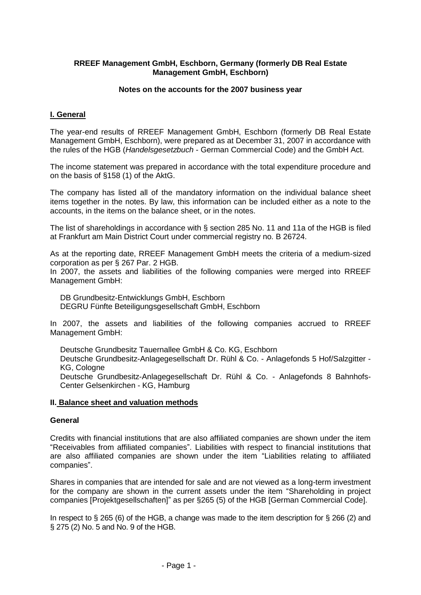### **RREEF Management GmbH, Eschborn, Germany (formerly DB Real Estate Management GmbH, Eschborn)**

#### **Notes on the accounts for the 2007 business year**

# **I. General**

The year-end results of RREEF Management GmbH, Eschborn (formerly DB Real Estate Management GmbH, Eschborn), were prepared as at December 31, 2007 in accordance with the rules of the HGB (*Handelsgesetzbuch* - German Commercial Code) and the GmbH Act.

The income statement was prepared in accordance with the total expenditure procedure and on the basis of §158 (1) of the AktG.

The company has listed all of the mandatory information on the individual balance sheet items together in the notes. By law, this information can be included either as a note to the accounts, in the items on the balance sheet, or in the notes.

The list of shareholdings in accordance with § section 285 No. 11 and 11a of the HGB is filed at Frankfurt am Main District Court under commercial registry no. B 26724.

As at the reporting date, RREEF Management GmbH meets the criteria of a medium-sized corporation as per § 267 Par. 2 HGB.

In 2007, the assets and liabilities of the following companies were merged into RREEF Management GmbH:

DB Grundbesitz-Entwicklungs GmbH, Eschborn DEGRU Fünfte Beteiligungsgesellschaft GmbH, Eschborn

In 2007, the assets and liabilities of the following companies accrued to RREEF Management GmbH:

Deutsche Grundbesitz Tauernallee GmbH & Co. KG, Eschborn Deutsche Grundbesitz-Anlagegesellschaft Dr. Rühl & Co. - Anlagefonds 5 Hof/Salzgitter - KG, Cologne Deutsche Grundbesitz-Anlagegesellschaft Dr. Rühl & Co. - Anlagefonds 8 Bahnhofs-Center Gelsenkirchen - KG, Hamburg

#### **II. Balance sheet and valuation methods**

### **General**

Credits with financial institutions that are also affiliated companies are shown under the item "Receivables from affiliated companies". Liabilities with respect to financial institutions that are also affiliated companies are shown under the item "Liabilities relating to affiliated companies".

Shares in companies that are intended for sale and are not viewed as a long-term investment for the company are shown in the current assets under the item "Shareholding in project companies [Projektgesellschaften]" as per §265 (5) of the HGB [German Commercial Code].

In respect to  $\S 265$  (6) of the HGB, a change was made to the item description for  $\S 266$  (2) and § 275 (2) No. 5 and No. 9 of the HGB.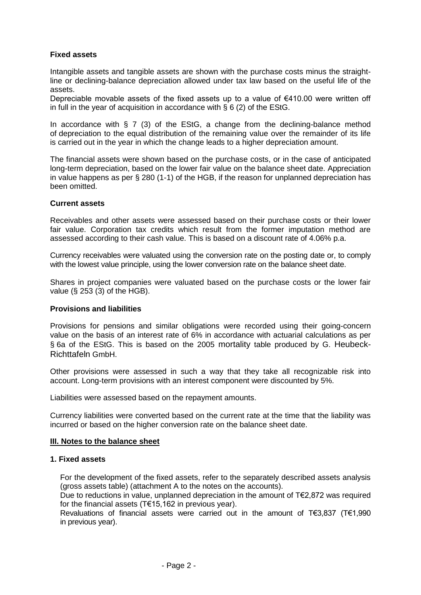# **Fixed assets**

Intangible assets and tangible assets are shown with the purchase costs minus the straightline or declining-balance depreciation allowed under tax law based on the useful life of the assets.

Depreciable movable assets of the fixed assets up to a value of  $€410.00$  were written off in full in the year of acquisition in accordance with  $\S 6 (2)$  of the EStG.

In accordance with § 7 (3) of the EStG, a change from the declining-balance method of depreciation to the equal distribution of the remaining value over the remainder of its life is carried out in the year in which the change leads to a higher depreciation amount.

The financial assets were shown based on the purchase costs, or in the case of anticipated long-term depreciation, based on the lower fair value on the balance sheet date. Appreciation in value happens as per § 280 (1-1) of the HGB, if the reason for unplanned depreciation has been omitted.

#### **Current assets**

Receivables and other assets were assessed based on their purchase costs or their lower fair value. Corporation tax credits which result from the former imputation method are assessed according to their cash value. This is based on a discount rate of 4.06% p.a.

Currency receivables were valuated using the conversion rate on the posting date or, to comply with the lowest value principle, using the lower conversion rate on the balance sheet date.

Shares in project companies were valuated based on the purchase costs or the lower fair value (§ 253 (3) of the HGB).

#### **Provisions and liabilities**

Provisions for pensions and similar obligations were recorded using their going-concern value on the basis of an interest rate of 6% in accordance with actuarial calculations as per § 6a of the EStG. This is based on the 2005 mortality table produced by G. Heubeck-Richttafeln GmbH.

Other provisions were assessed in such a way that they take all recognizable risk into account. Long-term provisions with an interest component were discounted by 5%.

Liabilities were assessed based on the repayment amounts.

Currency liabilities were converted based on the current rate at the time that the liability was incurred or based on the higher conversion rate on the balance sheet date.

#### **III. Notes to the balance sheet**

#### **1. Fixed assets**

For the development of the fixed assets, refer to the separately described assets analysis (gross assets table) (attachment A to the notes on the accounts).

Due to reductions in value, unplanned depreciation in the amount of T€2,872 was required for the financial assets (T€15,162 in previous year).

Revaluations of financial assets were carried out in the amount of T€3,837 (T€1,990 in previous year).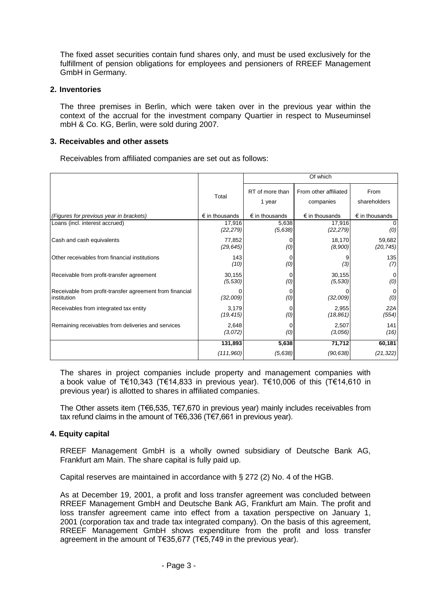The fixed asset securities contain fund shares only, and must be used exclusively for the fulfillment of pension obligations for employees and pensioners of RREEF Management GmbH in Germany.

### **2. Inventories**

The three premises in Berlin, which were taken over in the previous year within the context of the accrual for the investment company Quartier in respect to Museuminsel mbH & Co. KG, Berlin, were sold during 2007.

### **3. Receivables and other assets**

Receivables from affiliated companies are set out as follows:

|                                                                         |                         | Of which                  |                                    |                         |  |  |
|-------------------------------------------------------------------------|-------------------------|---------------------------|------------------------------------|-------------------------|--|--|
|                                                                         | Total                   | RT of more than<br>1 year | From other affiliated<br>companies | From<br>shareholders    |  |  |
| (Figures for previous year in brackets)                                 | $\epsilon$ in thousands | $\epsilon$ in thousands   | $\epsilon$ in thousands            | $\epsilon$ in thousands |  |  |
| Loans (incl. interest accrued)                                          | 17,916<br>(22, 279)     | 5,638<br>(5,638)          | 17,916<br>(22, 279)                | (0)                     |  |  |
| Cash and cash equivalents                                               | 77,852<br>(29, 645)     | (0)                       | 18,170<br>(8,900)                  | 59,682<br>(20, 745)     |  |  |
| Other receivables from financial institutions                           | 143<br>(10)             | (0)                       | (3)                                | 135<br>(7)              |  |  |
| Receivable from profit-transfer agreement                               | 30,155<br>(5,530)       | (0)                       | 30,155<br>(5,530)                  | 0<br>(0)                |  |  |
| Receivable from profit-transfer agreement from financial<br>institution | (32,009)                | (0)                       | (32,009)                           | (0)                     |  |  |
| Receivables from integrated tax entity                                  | 3,179<br>(19, 415)      | (0)                       | 2,955<br>(18, 861)                 | 22A<br>(554)            |  |  |
| Remaining receivables from deliveries and services                      | 2,648<br>(3,072)        | (0)                       | 2,507<br>(3,056)                   | 141<br>(16)             |  |  |
|                                                                         | 131,893                 | 5,638                     | 71,712                             | 60,181                  |  |  |
|                                                                         | (111,960)               | (5,638)                   | (90, 638)                          | (21, 322)               |  |  |

The shares in project companies include property and management companies with a book value of T€10,343 (T€14,833 in previous year). T€10,006 of this (T€14,610 in previous year) is allotted to shares in affiliated companies.

The Other assets item (T€6,535, T€7,670 in previous year) mainly includes receivables from tax refund claims in the amount of T€6,336 (T€7,661 in previous year).

### **4. Equity capital**

RREEF Management GmbH is a wholly owned subsidiary of Deutsche Bank AG, Frankfurt am Main. The share capital is fully paid up.

Capital reserves are maintained in accordance with § 272 (2) No. 4 of the HGB.

As at December 19, 2001, a profit and loss transfer agreement was concluded between RREEF Management GmbH and Deutsche Bank AG, Frankfurt am Main. The profit and loss transfer agreement came into effect from a taxation perspective on January 1, 2001 (corporation tax and trade tax integrated company). On the basis of this agreement, RREEF Management GmbH shows expenditure from the profit and loss transfer agreement in the amount of T€35,677 (T€5,749 in the previous year).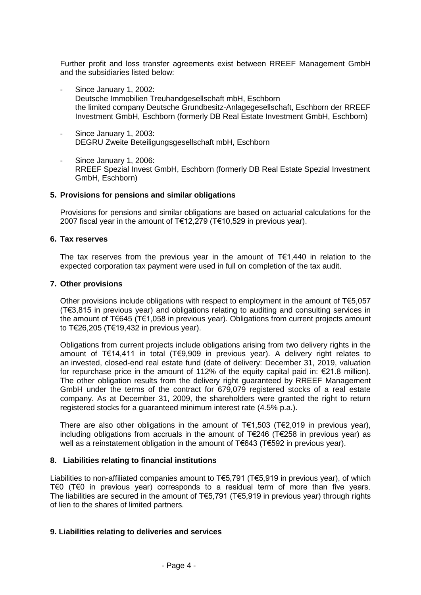Further profit and loss transfer agreements exist between RREEF Management GmbH and the subsidiaries listed below:

- Since January 1, 2002: Deutsche Immobilien Treuhandgesellschaft mbH, Eschborn the limited company Deutsche Grundbesitz-Anlagegesellschaft, Eschborn der RREEF Investment GmbH, Eschborn (formerly DB Real Estate Investment GmbH, Eschborn)
- Since January 1, 2003: DEGRU Zweite Beteiligungsgesellschaft mbH, Eschborn
- Since January 1, 2006: RREEF Spezial Invest GmbH, Eschborn (formerly DB Real Estate Spezial Investment GmbH, Eschborn)

#### **5. Provisions for pensions and similar obligations**

Provisions for pensions and similar obligations are based on actuarial calculations for the 2007 fiscal year in the amount of T€12,279 (T€10,529 in previous year).

#### **6. Tax reserves**

The tax reserves from the previous year in the amount of T€1,440 in relation to the expected corporation tax payment were used in full on completion of the tax audit.

#### **7. Other provisions**

Other provisions include obligations with respect to employment in the amount of  $T \in 5.057$ (T€3,815 in previous year) and obligations relating to auditing and consulting services in the amount of T€645 (T€1,058 in previous year). Obligations from current projects amount to T€26,205 (T€19,432 in previous year).

Obligations from current projects include obligations arising from two delivery rights in the amount of T€14,411 in total (T€9,909 in previous year). A delivery right relates to an invested, closed-end real estate fund (date of delivery: December 31, 2019, valuation for repurchase price in the amount of 112% of the equity capital paid in: €21.8 million). The other obligation results from the delivery right guaranteed by RREEF Management GmbH under the terms of the contract for 679,079 registered stocks of a real estate company. As at December 31, 2009, the shareholders were granted the right to return registered stocks for a guaranteed minimum interest rate (4.5% p.a.).

There are also other obligations in the amount of  $T \in 1,503$  (T $\in 2,019$  in previous year), including obligations from accruals in the amount of T€246 (T€258 in previous year) as well as a reinstatement obligation in the amount of T€643 (T€592 in previous year).

### **8. Liabilities relating to financial institutions**

Liabilities to non-affiliated companies amount to T€5,791 (T€5,919 in previous year), of which T€0 (T€0 in previous year) corresponds to a residual term of more than five years. The liabilities are secured in the amount of T€5,791 (T€5,919 in previous year) through rights of lien to the shares of limited partners.

### **9. Liabilities relating to deliveries and services**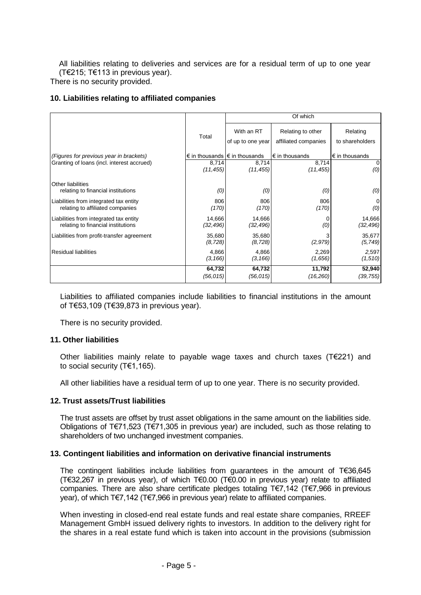All liabilities relating to deliveries and services are for a residual term of up to one year (T€215; T€113 in previous year).

There is no security provided.

# **10. Liabilities relating to affiliated companies**

|                                                         |                    | Of which                                        |                                           |                             |  |  |
|---------------------------------------------------------|--------------------|-------------------------------------------------|-------------------------------------------|-----------------------------|--|--|
|                                                         | Total              | With an RT<br>of up to one year                 | Relating to other<br>affiliated companies | Relating<br>to shareholders |  |  |
| (Figures for previous year in brackets)                 |                    | $\epsilon$ in thousands $\epsilon$ in thousands | $\epsilon$ in thousands                   | $\epsilon$ in thousands     |  |  |
| Granting of loans (incl. interest accrued)              | 8,714              | 8,714                                           | 8,714                                     | $\overline{0}$              |  |  |
|                                                         | (11, 455)          | (11, 455)                                       | (11, 455)                                 | (0)                         |  |  |
| Other liabilities<br>relating to financial institutions | (0)                | (0)                                             | (0)                                       | (0)                         |  |  |
| Liabilities from integrated tax entity                  | 806                | 806                                             | 806                                       | $\Omega$                    |  |  |
| relating to affiliated companies                        | (170)              | (170)                                           | (170)                                     | (0)                         |  |  |
| Liabilities from integrated tax entity                  | 14,666             | 14,666                                          | (0)                                       | 14,666                      |  |  |
| relating to financial institutions                      | (32, 496)          | (32, 496)                                       |                                           | (32, 496)                   |  |  |
| Liabilities from profit-transfer agreement              | 35,680<br>(8, 728) | 35,680<br>(8, 728)                              | (2, 979)                                  | 35,677<br>(5, 749)          |  |  |
| <b>Residual liabilities</b>                             | 4,866              | 4,866                                           | 2,269                                     | 2,597                       |  |  |
|                                                         | (3, 166)           | (3, 166)                                        | (1,656)                                   | (1,510)                     |  |  |
|                                                         | 64,732             | 64,732                                          | 11,792                                    | 52,940                      |  |  |
|                                                         | (56, 015)          | (56, 015)                                       | (16, 260)                                 | (39, 755)                   |  |  |

Liabilities to affiliated companies include liabilities to financial institutions in the amount of T€53,109 (T€39,873 in previous year).

There is no security provided.

### **11. Other liabilities**

Other liabilities mainly relate to payable wage taxes and church taxes (T€221) and to social security (T€1,165).

All other liabilities have a residual term of up to one year. There is no security provided.

# **12. Trust assets/Trust liabilities**

The trust assets are offset by trust asset obligations in the same amount on the liabilities side. Obligations of T€71,523 (T€71,305 in previous year) are included, such as those relating to shareholders of two unchanged investment companies.

### **13. Contingent liabilities and information on derivative financial instruments**

The contingent liabilities include liabilities from guarantees in the amount of T€36,645 (T€32,267 in previous year), of which T€0.00 (T€0.00 in previous year) relate to affiliated companies. There are also share certificate pledges totaling T€7,142 (T€7,966 in previous year), of which T€7,142 (T€7,966 in previous year) relate to affiliated companies.

When investing in closed-end real estate funds and real estate share companies, RREEF Management GmbH issued delivery rights to investors. In addition to the delivery right for the shares in a real estate fund which is taken into account in the provisions (submission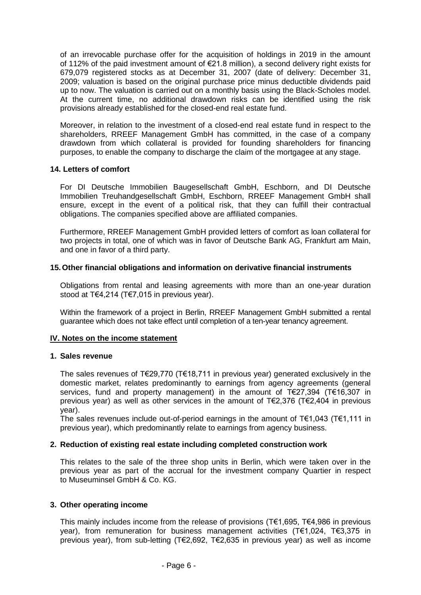of an irrevocable purchase offer for the acquisition of holdings in 2019 in the amount of 112% of the paid investment amount of €21.8 million), a second delivery right exists for 679,079 registered stocks as at December 31, 2007 (date of delivery: December 31, 2009; valuation is based on the original purchase price minus deductible dividends paid up to now. The valuation is carried out on a monthly basis using the Black-Scholes model. At the current time, no additional drawdown risks can be identified using the risk provisions already established for the closed-end real estate fund.

Moreover, in relation to the investment of a closed-end real estate fund in respect to the shareholders, RREEF Management GmbH has committed, in the case of a company drawdown from which collateral is provided for founding shareholders for financing purposes, to enable the company to discharge the claim of the mortgagee at any stage.

#### **14. Letters of comfort**

For DI Deutsche Immobilien Baugesellschaft GmbH, Eschborn, and DI Deutsche Immobilien Treuhandgesellschaft GmbH, Eschborn, RREEF Management GmbH shall ensure, except in the event of a political risk, that they can fulfill their contractual obligations. The companies specified above are affiliated companies.

Furthermore, RREEF Management GmbH provided letters of comfort as loan collateral for two projects in total, one of which was in favor of Deutsche Bank AG, Frankfurt am Main, and one in favor of a third party.

#### **15.Other financial obligations and information on derivative financial instruments**

Obligations from rental and leasing agreements with more than an one-year duration stood at T€4,214 (T€7,015 in previous year).

Within the framework of a project in Berlin, RREEF Management GmbH submitted a rental guarantee which does not take effect until completion of a ten-year tenancy agreement.

#### **IV. Notes on the income statement**

#### **1. Sales revenue**

The sales revenues of T€29,770 (T€18,711 in previous year) generated exclusively in the domestic market, relates predominantly to earnings from agency agreements (general services, fund and property management) in the amount of T€27,394 (T€16,307 in previous year) as well as other services in the amount of T€2,376 (T€2,404 in previous year).

The sales revenues include out-of-period earnings in the amount of  $T \in 1,043$  (T $\in 1,111$  in previous year), which predominantly relate to earnings from agency business.

#### **2. Reduction of existing real estate including completed construction work**

This relates to the sale of the three shop units in Berlin, which were taken over in the previous year as part of the accrual for the investment company Quartier in respect to Museuminsel GmbH & Co. KG.

#### **3. Other operating income**

This mainly includes income from the release of provisions (T€1,695, T€4,986 in previous year), from remuneration for business management activities (T€1,024, T€3,375 in previous year), from sub-letting (T€2,692, T€2,635 in previous year) as well as income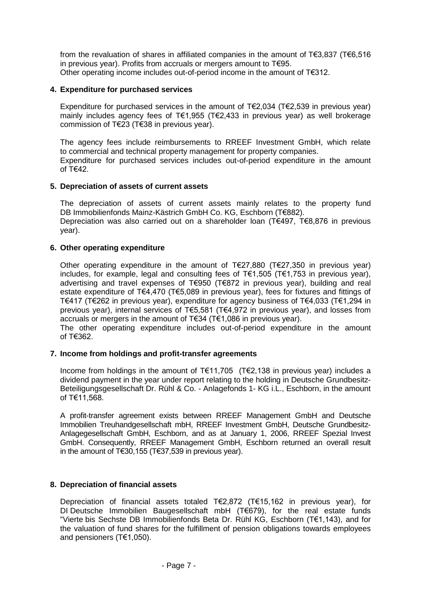from the revaluation of shares in affiliated companies in the amount of T€3,837 (T€6,516 in previous year). Profits from accruals or mergers amount to T€95. Other operating income includes out-of-period income in the amount of T€312.

### **4. Expenditure for purchased services**

Expenditure for purchased services in the amount of T€2,034 (T€2,539 in previous year) mainly includes agency fees of T€1,955 (T€2,433 in previous year) as well brokerage commission of T€23 (T€38 in previous year).

The agency fees include reimbursements to RREEF Investment GmbH, which relate to commercial and technical property management for property companies.

Expenditure for purchased services includes out-of-period expenditure in the amount of T€42.

### **5. Depreciation of assets of current assets**

The depreciation of assets of current assets mainly relates to the property fund DB Immobilienfonds Mainz-Kästrich GmbH Co. KG, Eschborn (T€882).

Depreciation was also carried out on a shareholder loan (T€497, T€8,876 in previous year).

#### **6. Other operating expenditure**

Other operating expenditure in the amount of T€27,880 (T€27,350 in previous year) includes, for example, legal and consulting fees of T€1,505 (T€1,753 in previous year), advertising and travel expenses of T€950 (T€872 in previous year), building and real estate expenditure of T€4,470 (T€5,089 in previous year), fees for fixtures and fittings of T€417 (T€262 in previous year), expenditure for agency business of T€4,033 (T€1,294 in previous year), internal services of T€5,581 (T€4,972 in previous year), and losses from accruals or mergers in the amount of T€34 (T€1,086 in previous year).

The other operating expenditure includes out-of-period expenditure in the amount of T€362.

### **7. Income from holdings and profit-transfer agreements**

Income from holdings in the amount of T€11,705 (T€2,138 in previous year) includes a dividend payment in the year under report relating to the holding in Deutsche Grundbesitz-Beteiligungsgesellschaft Dr. Rühl & Co. - Anlagefonds 1- KG i.L., Eschborn, in the amount of T€11,568.

A profit-transfer agreement exists between RREEF Management GmbH and Deutsche Immobilien Treuhandgesellschaft mbH, RREEF Investment GmbH, Deutsche Grundbesitz-Anlagegesellschaft GmbH, Eschborn, and as at January 1, 2006, RREEF Spezial Invest GmbH. Consequently, RREEF Management GmbH, Eschborn returned an overall result in the amount of T€30,155 (T€37,539 in previous year).

### **8. Depreciation of financial assets**

Depreciation of financial assets totaled T€2,872 (T€15,162 in previous year), for DI Deutsche Immobilien Baugesellschaft mbH (T€679), for the real estate funds "Vierte bis Sechste DB Immobilienfonds Beta Dr. Rühl KG, Eschborn (T€1,143), and for the valuation of fund shares for the fulfillment of pension obligations towards employees and pensioners (T€1,050).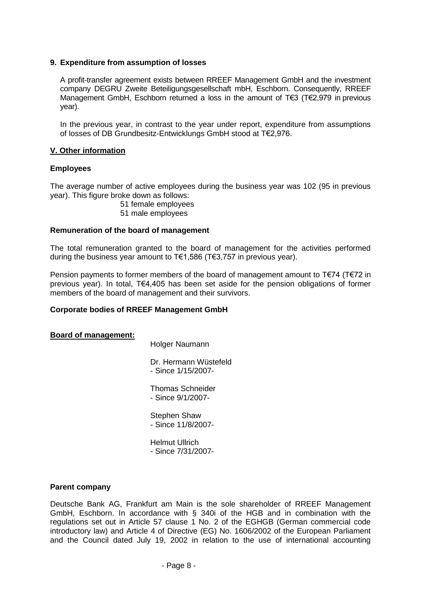#### **9. Expenditure from assumption of losses**

A profit-transfer agreement exists between RREEF Management GmbH and the investment company DEGRU Zweite Beteiligungsgesellschaft mbH, Eschborn. Consequently, RREEF Management GmbH, Eschborn returned a loss in the amount of T€3 (T€2,979 in previous year).

In the previous year, in contrast to the year under report, expenditure from assumptions of losses of DB Grundbesitz-Entwicklungs GmbH stood at T€2,976.

#### **V. Other information**

#### **Employees**

The average number of active employees during the business year was 102 (95 in previous year). This figure broke down as follows:

- 51 female employees
- 51 male employees

#### **Remuneration of the board of management**

The total remuneration granted to the board of management for the activities performed during the business year amount to T€1,586 (T€3,757 in previous year).

Pension payments to former members of the board of management amount to T€74 (T€72 in previous year). In total, T€4,405 has been set aside for the pension obligations of former members of the board of management and their survivors.

#### **Corporate bodies of RREEF Management GmbH**

#### **Board of management:**

Holger Naumann

Dr. Hermann Wüstefeld - Since 1/15/2007-

Thomas Schneider - Since 9/1/2007-

Stephen Shaw - Since 11/8/2007-

Helmut Ullrich - Since 7/31/2007-

#### **Parent company**

Deutsche Bank AG, Frankfurt am Main is the sole shareholder of RREEF Management GmbH, Eschborn. In accordance with § 340i of the HGB and in combination with the regulations set out in Article 57 clause 1 No. 2 of the EGHGB (German commercial code introductory law) and Article 4 of Directive (EG) No. 1606/2002 of the European Parliament and the Council dated July 19, 2002 in relation to the use of international accounting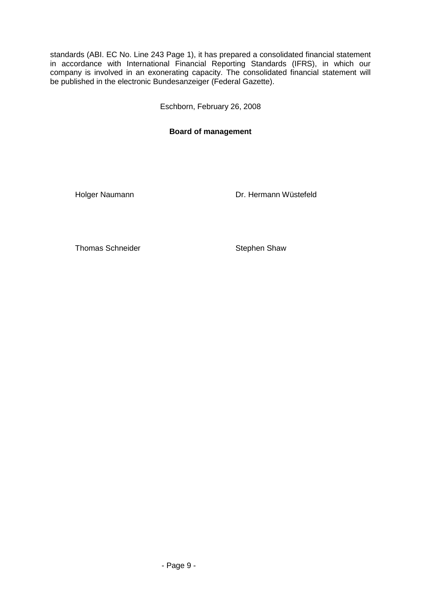standards (ABI. EC No. Line 243 Page 1), it has prepared a consolidated financial statement in accordance with International Financial Reporting Standards (IFRS), in which our company is involved in an exonerating capacity. The consolidated financial statement will be published in the electronic Bundesanzeiger (Federal Gazette).

Eschborn, February 26, 2008

# **Board of management**

Holger Naumann **Dr. Hermann Wüstefeld** 

Thomas Schneider Stephen Shaw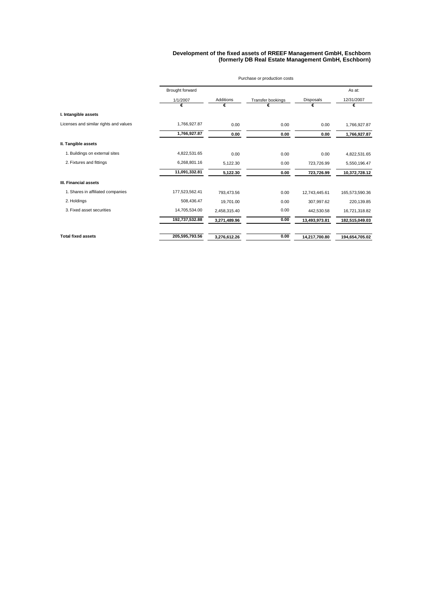#### **Development of the fixed assets of RREEF Management GmbH, Eschborn (formerly DB Real Estate Management GmbH, Eschborn)**

|                                        | Purchase or production costs |                  |                   |               |                |  |
|----------------------------------------|------------------------------|------------------|-------------------|---------------|----------------|--|
|                                        | Brought forward              |                  |                   |               | As at:         |  |
|                                        | 1/1/2007                     | <b>Additions</b> | Transfer bookings | Disposals     | 12/31/2007     |  |
|                                        | €                            | €                |                   | €             | €              |  |
| I. Intangible assets                   |                              |                  |                   |               |                |  |
| Licenses and similar rights and values | 1,766,927.87                 | 0.00             | 0.00              | 0.00          | 1,766,927.87   |  |
|                                        | 1,766,927.87                 | 0.00             | 0.00              | 0.00          | 1,766,927.87   |  |
| II. Tangible assets                    |                              |                  |                   |               |                |  |
| 1. Buildings on external sites         | 4,822,531.65                 | 0.00             | 0.00              | 0.00          | 4,822,531.65   |  |
| 2. Fixtures and fittings               | 6,268,801.16                 | 5,122.30         | 0.00              | 723,726.99    | 5,550,196.47   |  |
|                                        | 11,091,332.81                | 5,122.30         | 0.00              | 723,726.99    | 10,372,728.12  |  |
| III. Financial assets                  |                              |                  |                   |               |                |  |
| 1. Shares in affiliated companies      | 177,523,562.41               | 793,473.56       | 0.00              | 12,743,445.61 | 165,573,590.36 |  |
| 2. Holdings                            | 508,436.47                   | 19,701.00        | 0.00              | 307,997.62    | 220,139.85     |  |
| 3. Fixed asset securities              | 14,705,534.00                | 2,458,315.40     | 0.00              | 442,530.58    | 16,721,318.82  |  |
|                                        | 192,737,532.88               | 3,271,489.96     | 0.00              | 13,493,973.81 | 182,515,049.03 |  |
| <b>Total fixed assets</b>              | 205,595,793.56               | 3,276,612.26     | 0.00              | 14,217,700.80 | 194,654,705.02 |  |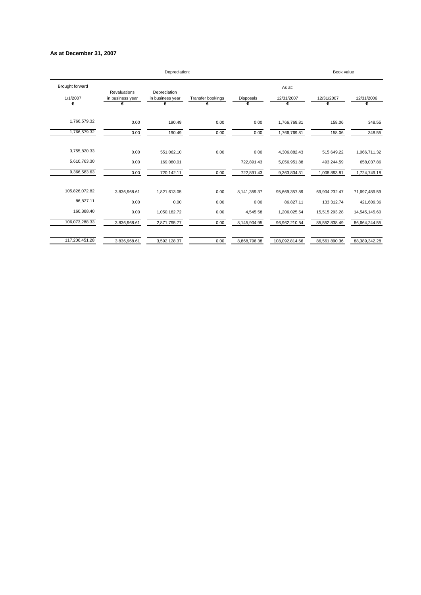#### **As at December 31, 2007**

|                                  |                                              | Depreciation:                         |                        |                |                           | Book value      |                 |
|----------------------------------|----------------------------------------------|---------------------------------------|------------------------|----------------|---------------------------|-----------------|-----------------|
| Brought forward<br>1/1/2007<br>€ | <b>Revaluations</b><br>in business year<br>€ | Depreciation<br>in business year<br>€ | Transfer bookings<br>€ | Disposals<br>€ | As at:<br>12/31/2007<br>€ | 12/31/2007<br>€ | 12/31/2006<br>€ |
| 1,766,579.32                     | 0.00                                         | 190.49                                | 0.00                   | 0.00           | 1,766,769.81              | 158.06          | 348.55          |
| 1,766,579.32                     | 0.00                                         | 190.49                                | 0.00                   | 0.00           | 1,766,769.81              | 158.06          | 348.55          |
| 3,755,820.33                     | 0.00                                         | 551,062.10                            | 0.00                   | 0.00           | 4,306,882.43              | 515,649.22      | 1,066,711.32    |
| 5,610,763.30                     | 0.00                                         | 169,080.01                            |                        | 722,891.43     | 5,056,951.88              | 493,244.59      | 658,037.86      |
| 9,366,583.63                     | 0.00                                         | 720,142.11                            | 0.00                   | 722,891.43     | 9,363,834.31              | 1,008,893.81    | 1,724,749.18    |
| 105,826,072.82                   | 3,836,968.61                                 | 1,821,613.05                          | 0.00                   | 8,141,359.37   | 95,669,357.89             | 69,904,232.47   | 71,697,489.59   |
| 86,827.11                        | 0.00                                         | 0.00                                  | 0.00                   | 0.00           | 86,827.11                 | 133,312.74      | 421,609.36      |
| 160,388.40                       | 0.00                                         | 1,050,182.72                          | 0.00                   | 4,545.58       | 1,206,025.54              | 15,515,293.28   | 14,545,145.60   |
| 106,073,288.33                   | 3,836,968.61                                 | 2,871,795.77                          | 0.00                   | 8,145,904.95   | 96,962,210.54             | 85,552,838.49   | 86,664,244.55   |
| 117,206,451.28                   | 3,836,968.61                                 | 3,592,128.37                          | 0.00                   | 8,868,796.38   | 108,092,814.66            | 86,561,890.36   | 88,389,342.28   |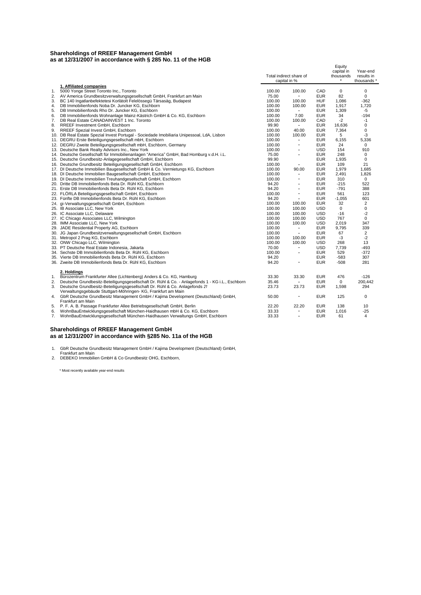#### **Shareholdings of RREEF Management GmbH as at 12/31/2007 in accordance with § 285 No. 11 of the HGB**

|    |                                                                                                  | Total indirect share of<br>capital in % |                          |            | Equity<br>capital in<br>thousands | Year-end<br>results in<br>thousands * |
|----|--------------------------------------------------------------------------------------------------|-----------------------------------------|--------------------------|------------|-----------------------------------|---------------------------------------|
|    | 1. Affiliated companies                                                                          |                                         |                          |            |                                   |                                       |
| 1. | 5000 Yonge Street Toronto Inc., Toronto                                                          | 100.00                                  | 100.00                   | CAD        | 0                                 | 0                                     |
| 2. | AV America Grundbesitzverwaltungsgesellschaft GmbH, Frankfurt am Main                            | 75.00                                   | $\sim$                   | <b>EUR</b> | 82                                | 0                                     |
| 3. | BC 140 Ingatlanbefektetesi Korlätolt Felelössegü Tärsasäg, Budapest                              | 100.00                                  | 100.00                   | <b>HUF</b> | 1.086                             | $-362$                                |
| 4. | DB Immobilienfonds Noba Dr. Juncker KG, Eschborn                                                 | 100.00                                  | 100.00                   | <b>EUR</b> | 1.917                             | 1.720                                 |
| 5. | DB Immobilienfonds Rho Dr. Juncker KG. Eschborn                                                  | 100.00                                  | $\sim$                   | <b>EUR</b> | 1,309                             | -5                                    |
| 6. | DB Immobilienfonds Wohnanlage Mainz-Kästrich GmbH & Co. KG, Eschborn                             | 100.00                                  | 7.00                     | <b>EUR</b> | 34                                | $-194$                                |
| 7. | DB Real Estate CANADAINVEST 1 Inc. Toronto                                                       | 100.00                                  | 100.00                   | CAD        | $-2$                              | $-1$                                  |
| 8. | RREEF Investment GmbH, Eschborn                                                                  | 99.90                                   | $\sim$                   | <b>EUR</b> | 16,636                            | 0                                     |
| 9. | RREEF Spezial Invest GmbH, Eschborn                                                              | 100.00                                  | 40.00                    | <b>EUR</b> | 7,364                             | 0                                     |
|    | 10. DB Real Estate Spezial Invest Portugal - Sociedade Imobiliaria Unipessoal, LdA, Lisbon       | 100.00                                  | 100.00                   | <b>EUR</b> | 5                                 | -3                                    |
|    | 11. DEGRU Erste Beteiligungsgesellschaft mbH, Eschborn                                           | 100.00                                  | ٠                        | <b>EUR</b> | 6,155                             | 5,336                                 |
|    | 12. DEGRU Zweite Beteiligungsgesellschaft mbH, Eschborn, Germany                                 | 100.00                                  | $\overline{\phantom{a}}$ | <b>EUR</b> | 24                                | $\mathbf 0$                           |
|    | 13. Deutsche Bank Realty Advisors Inc., New York                                                 | 100.00                                  | $\overline{\phantom{a}}$ | <b>USD</b> | 154                               | 910                                   |
|    | 14. Deutsche Gesellschaft für Immobilienanlagen "America" GmbH, Bad Homburg v.d.H. i.L.          | 75.00                                   | $\overline{\phantom{a}}$ | <b>EUR</b> | 248                               | $\mathbf 0$                           |
|    | 15. Deutsche Grundbesitz-Anlagegesellschaft GmbH, Eschborn                                       | 99.90                                   |                          | <b>EUR</b> | 1,935                             | 0                                     |
|    | 16. Deutsche Grundbesitz Beteiligungsgesellschaft GmbH, Eschborn                                 | 100.00                                  | $\overline{\phantom{a}}$ | <b>EUR</b> | 109                               | 21                                    |
|    | 17. DI Deutsche Immobilien Baugesellschaft GmbH & Co. Vermietungs KG, Eschborn                   | 100.00                                  | 90.00                    | <b>EUR</b> | 1,979                             | 1,685                                 |
|    | 18. DI Deutsche Immobilien Baugesellschaft GmbH, Eschborn                                        | 100.00                                  | ٠                        | <b>EUR</b> | 2.491                             | 1,826                                 |
|    | 19. DI Deutsche Immobilien Treuhandgesellschaft GmbH, Eschborn                                   | 100.00                                  | $\blacksquare$           | <b>EUR</b> | 310                               | $\mathbf 0$                           |
|    | 20. Dritte DB Immobilienfonds Beta Dr. Rühl KG, Eschborn                                         | 94.20                                   | ٠                        | <b>EUR</b> | $-215$                            | 522                                   |
|    | 21. Erste DB Immobilienfonds Beta Dr. Rühl KG, Eschborn                                          | 94.20                                   | $\overline{\phantom{a}}$ | <b>EUR</b> | $-791$                            | 388                                   |
|    | 22. FLORLA Beteiligungsgesellschaft GmbH, Eschborn                                               | 100.00                                  | $\blacksquare$           | <b>EUR</b> | 561                               | 123                                   |
|    | 23. Fünfte DB Immobilienfonds Beta Dr. Rühl KG, Eschborn                                         | 94.20                                   | $\overline{\phantom{a}}$ | <b>EUR</b> | $-1,055$                          | 601                                   |
|    | 24. gi-Verwaltungsgesellschaft GmbH, Eschborn                                                    | 100.00                                  | 100.00                   | <b>EUR</b> | 32                                | 2                                     |
|    | 25. IB Associate LLC, New York                                                                   | 100.00                                  | 100.00                   | <b>USD</b> | $\mathbf 0$                       | 0                                     |
|    | 26. IC Associate LLC, Delaware                                                                   | 100.00                                  | 100.00                   | <b>USD</b> | $-16$                             | $-2$                                  |
|    | 27. IC Chicago Associates LLC, Wilmington                                                        | 100.00                                  | 100.00                   | <b>USD</b> | 767                               | 0                                     |
|    | 28. IMM Associate LLC, New York                                                                  | 100.00                                  | 100.00                   | <b>USD</b> | 2,019                             | 347                                   |
|    | 29. JADE Residential Property AG, Eschborn                                                       | 100.00                                  | ۰.                       | <b>EUR</b> | 9,795                             | 339                                   |
|    | 30. JG Japan Grundbesitzverwaltungsgesellschaft GmbH, Eschborn                                   | 100.00                                  | $\sim$                   | <b>EUR</b> | 67                                | 2                                     |
|    | 31. Metropol 2 Prag KG, Eschborn                                                                 | 100.00                                  | 100.00                   | <b>EUR</b> | $-3$                              | $-2$                                  |
|    | 32. ONW Chicago LLC, Wilmington                                                                  | 100.00                                  | 100.00                   | <b>USD</b> | 268                               | 13                                    |
|    | 33. PT Deutsche Real Estate Indonesia, Jakarta                                                   | 70.00                                   | $\blacksquare$           | <b>USD</b> | 7,739                             | $-493$                                |
|    | 34. Sechste DB Immobilienfonds Beta Dr. Rühl KG, Eschborn                                        | 100.00                                  | $\overline{\phantom{a}}$ | <b>EUR</b> | 529                               | $-372$                                |
|    | 35. Vierte DB Immobilienfonds Beta Dr. Rühl KG, Eschborn                                         | 94.20                                   |                          | <b>EUR</b> | $-583$                            | 307                                   |
|    | 36. Zweite DB Immobilienfonds Beta Dr. Rühl KG, Eschborn                                         | 94.20                                   | ٠                        | <b>EUR</b> | $-508$                            | 281                                   |
|    | 2. Holdings                                                                                      |                                         |                          |            |                                   |                                       |
| 1. | Bürozentrum Frankfurter Allee (Lichtenberg) Anders & Co. KG, Hamburg                             | 33.30                                   | 33.30                    | <b>EUR</b> | 476                               | $-126$                                |
| 2. | Deutsche Grundbesitz-Beteiligungsgesellschaft Dr. Rühl & Co. - Anlagefonds 1 - KG i.L., Eschborn | 35.46                                   |                          | <b>EUR</b> | $\mathbf 0$                       | 200.442                               |
| 3. | Deutsche Grundbesitz-Beteiligungsgesellschaft Dr. Rühl & Co. Anlagefonds 21                      | 23.73                                   | 23.73                    | <b>EUR</b> | 1,598                             | 294                                   |
|    | Verwaltungsgebäude Stuttgart-Möhringen- KG, Frankfurt am Main                                    |                                         |                          |            |                                   |                                       |
| 4. | GbR Deutsche Grundbesitz Management GmbH / Kajima Development (Deutschland) GmbH,                | 50.00                                   | ٠                        | <b>EUR</b> | 125                               | 0                                     |
|    | Frankfurt am Main                                                                                |                                         |                          |            |                                   |                                       |
|    | 5. P. F. A. B. Passage Frankfurter Allee Betriebsgesellschaft GmbH, Berlin                       | 22.20                                   | 22.20                    | <b>EUR</b> | 138                               | 10                                    |
| 6. | WohnBauEntwicklungsgesellschaft München-Haidhausen mbH & Co. KG, Eschborn                        | 33.33                                   |                          | <b>EUR</b> | 1,016                             | $-25$                                 |
| 7. | WohnBauEntwicklungsgesellschaft München-Haidhausen Verwaltungs GmbH, Eschborn                    | 33.33                                   | ٠                        | <b>EUR</b> | 61                                | 4                                     |
|    |                                                                                                  |                                         |                          |            |                                   |                                       |

#### **Shareholdings of RREEF Management GmbH as at 12/31/2007 in accordance with §285 No. 11a of the HGB**

1. GbR Deutsche Grundbesitz Management GmbH / Kajima Development (Deutschland) GmbH, Frankfurt am Main 2. DEBEKO Immobilien GmbH & Co Grundbesitz OHG, Eschborn,

\* Most recently available year-end results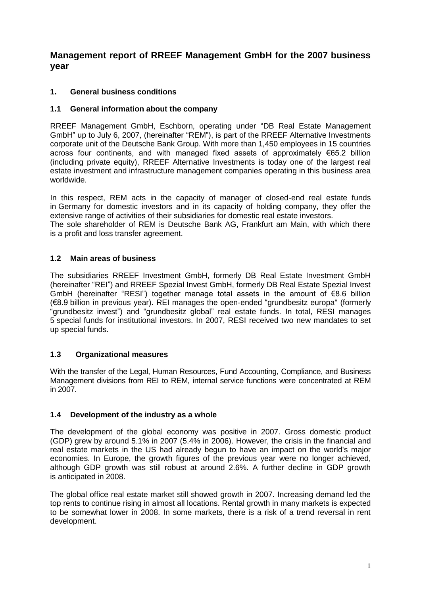# **Management report of RREEF Management GmbH for the 2007 business year**

# **1. General business conditions**

# **1.1 General information about the company**

RREEF Management GmbH, Eschborn, operating under "DB Real Estate Management GmbH" up to July 6, 2007, (hereinafter "REM"), is part of the RREEF Alternative Investments corporate unit of the Deutsche Bank Group. With more than 1,450 employees in 15 countries across four continents, and with managed fixed assets of approximately  $\epsilon$ 65.2 billion (including private equity), RREEF Alternative Investments is today one of the largest real estate investment and infrastructure management companies operating in this business area worldwide.

In this respect, REM acts in the capacity of manager of closed-end real estate funds in Germany for domestic investors and in its capacity of holding company, they offer the extensive range of activities of their subsidiaries for domestic real estate investors.

The sole shareholder of REM is Deutsche Bank AG, Frankfurt am Main, with which there is a profit and loss transfer agreement.

# **1.2 Main areas of business**

The subsidiaries RREEF Investment GmbH, formerly DB Real Estate Investment GmbH (hereinafter "REI") and RREEF Spezial Invest GmbH, formerly DB Real Estate Spezial Invest GmbH (hereinafter "RESI") together manage total assets in the amount of €8.6 billion (€8.9 billion in previous year). REI manages the open-ended "grundbesitz europa" (formerly "grundbesitz invest") and "grundbesitz global" real estate funds. In total, RESI manages 5 special funds for institutional investors. In 2007, RESI received two new mandates to set up special funds.

# **1.3 Organizational measures**

With the transfer of the Legal, Human Resources, Fund Accounting, Compliance, and Business Management divisions from REI to REM, internal service functions were concentrated at REM in 2007.

# **1.4 Development of the industry as a whole**

The development of the global economy was positive in 2007. Gross domestic product (GDP) grew by around 5.1% in 2007 (5.4% in 2006). However, the crisis in the financial and real estate markets in the US had already begun to have an impact on the world's major economies. In Europe, the growth figures of the previous year were no longer achieved, although GDP growth was still robust at around 2.6%. A further decline in GDP growth is anticipated in 2008.

The global office real estate market still showed growth in 2007. Increasing demand led the top rents to continue rising in almost all locations. Rental growth in many markets is expected to be somewhat lower in 2008. In some markets, there is a risk of a trend reversal in rent development.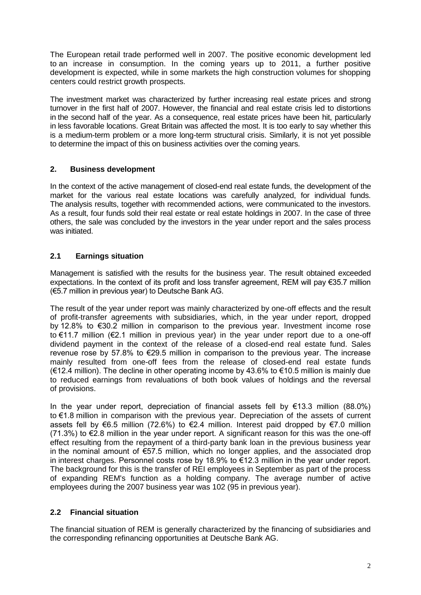The European retail trade performed well in 2007. The positive economic development led to an increase in consumption. In the coming years up to 2011, a further positive development is expected, while in some markets the high construction volumes for shopping centers could restrict growth prospects.

The investment market was characterized by further increasing real estate prices and strong turnover in the first half of 2007. However, the financial and real estate crisis led to distortions in the second half of the year. As a consequence, real estate prices have been hit, particularly in less favorable locations. Great Britain was affected the most. It is too early to say whether this is a medium-term problem or a more long-term structural crisis. Similarly, it is not yet possible to determine the impact of this on business activities over the coming years.

# **2. Business development**

In the context of the active management of closed-end real estate funds, the development of the market for the various real estate locations was carefully analyzed, for individual funds. The analysis results, together with recommended actions, were communicated to the investors. As a result, four funds sold their real estate or real estate holdings in 2007. In the case of three others, the sale was concluded by the investors in the year under report and the sales process was initiated.

# **2.1 Earnings situation**

Management is satisfied with the results for the business year. The result obtained exceeded expectations. In the context of its profit and loss transfer agreement, REM will pay €35.7 million (€5.7 million in previous year) to Deutsche Bank AG.

The result of the year under report was mainly characterized by one-off effects and the result of profit-transfer agreements with subsidiaries, which, in the year under report, dropped by 12.8% to €30.2 million in comparison to the previous year. Investment income rose to €11.7 million (€2.1 million in previous year) in the year under report due to a one-off dividend payment in the context of the release of a closed-end real estate fund. Sales revenue rose by 57.8% to €29.5 million in comparison to the previous year. The increase mainly resulted from one-off fees from the release of closed-end real estate funds (€12.4 million). The decline in other operating income by 43.6% to €10.5 million is mainly due to reduced earnings from revaluations of both book values of holdings and the reversal of provisions.

In the year under report, depreciation of financial assets fell by  $\in$ 13.3 million (88.0%) to €1.8 million in comparison with the previous year. Depreciation of the assets of current assets fell by €6.5 million (72.6%) to €2.4 million. Interest paid dropped by €7.0 million  $(71.3%)$  to  $\epsilon$ 2.8 million in the year under report. A significant reason for this was the one-off effect resulting from the repayment of a third-party bank loan in the previous business year in the nominal amount of €57.5 million, which no longer applies, and the associated drop in interest charges. Personnel costs rose by 18.9% to €12.3 million in the year under report. The background for this is the transfer of REI employees in September as part of the process of expanding REM's function as a holding company. The average number of active employees during the 2007 business year was 102 (95 in previous year).

# **2.2 Financial situation**

The financial situation of REM is generally characterized by the financing of subsidiaries and the corresponding refinancing opportunities at Deutsche Bank AG.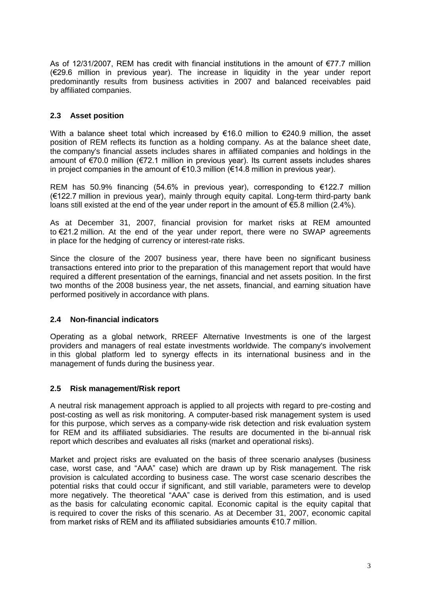As of 12/31/2007, REM has credit with financial institutions in the amount of  $\epsilon$ 77.7 million (€29.6 million in previous year). The increase in liquidity in the year under report predominantly results from business activities in 2007 and balanced receivables paid by affiliated companies.

# **2.3 Asset position**

With a balance sheet total which increased by  $€16.0$  million to  $€240.9$  million, the asset position of REM reflects its function as a holding company. As at the balance sheet date, the company's financial assets includes shares in affiliated companies and holdings in the amount of €70.0 million (€72.1 million in previous year). Its current assets includes shares in project companies in the amount of €10.3 million (€14.8 million in previous year).

REM has 50.9% financing (54.6% in previous year), corresponding to €122.7 million (€122.7 million in previous year), mainly through equity capital. Long-term third-party bank loans still existed at the end of the year under report in the amount of  $\epsilon$ 5.8 million (2.4%).

As at December 31, 2007, financial provision for market risks at REM amounted to €21.2 million. At the end of the year under report, there were no SWAP agreements in place for the hedging of currency or interest-rate risks.

Since the closure of the 2007 business year, there have been no significant business transactions entered into prior to the preparation of this management report that would have required a different presentation of the earnings, financial and net assets position. In the first two months of the 2008 business year, the net assets, financial, and earning situation have performed positively in accordance with plans.

### **2.4 Non-financial indicators**

Operating as a global network, RREEF Alternative Investments is one of the largest providers and managers of real estate investments worldwide*.* The company's involvement in this global platform led to synergy effects in its international business and in the management of funds during the business year.

### **2.5 Risk management/Risk report**

A neutral risk management approach is applied to all projects with regard to pre-costing and post-costing as well as risk monitoring. A computer-based risk management system is used for this purpose, which serves as a company-wide risk detection and risk evaluation system for REM and its affiliated subsidiaries. The results are documented in the bi-annual risk report which describes and evaluates all risks (market and operational risks).

Market and project risks are evaluated on the basis of three scenario analyses (business case, worst case, and "AAA" case) which are drawn up by Risk management. The risk provision is calculated according to business case. The worst case scenario describes the potential risks that could occur if significant, and still variable, parameters were to develop more negatively. The theoretical "AAA" case is derived from this estimation, and is used as the basis for calculating economic capital. Economic capital is the equity capital that is required to cover the risks of this scenario. As at December 31, 2007, economic capital from market risks of REM and its affiliated subsidiaries amounts €10.7 million.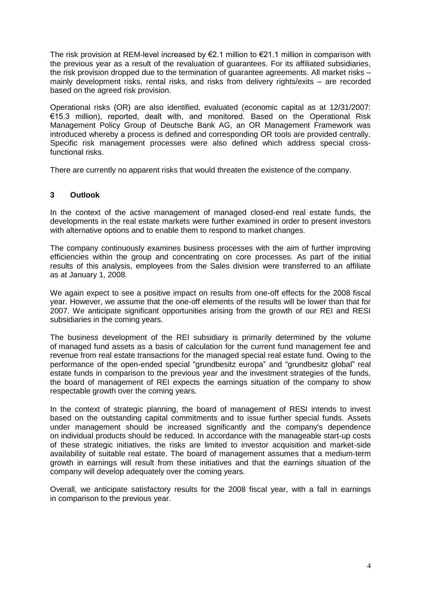The risk provision at REM-level increased by  $\epsilon$ 2.1 million to  $\epsilon$ 21.1 million in comparison with the previous year as a result of the revaluation of guarantees. For its affiliated subsidiaries, the risk provision dropped due to the termination of guarantee agreements. All market risks – mainly development risks, rental risks, and risks from delivery rights/exits – are recorded based on the agreed risk provision.

Operational risks (OR) are also identified, evaluated (economic capital as at 12/31/2007: €15.3 million), reported, dealt with, and monitored. Based on the Operational Risk Management Policy Group of Deutsche Bank AG, an OR Management Framework was introduced whereby a process is defined and corresponding OR tools are provided centrally. Specific risk management processes were also defined which address special crossfunctional risks.

There are currently no apparent risks that would threaten the existence of the company.

### **3 Outlook**

In the context of the active management of managed closed-end real estate funds, the developments in the real estate markets were further examined in order to present investors with alternative options and to enable them to respond to market changes.

The company continuously examines business processes with the aim of further improving efficiencies within the group and concentrating on core processes. As part of the initial results of this analysis, employees from the Sales division were transferred to an affiliate as at January 1, 2008.

We again expect to see a positive impact on results from one-off effects for the 2008 fiscal year. However, we assume that the one-off elements of the results will be lower than that for 2007. We anticipate significant opportunities arising from the growth of our REI and RESI subsidiaries in the coming years.

The business development of the REI subsidiary is primarily determined by the volume of managed fund assets as a basis of calculation for the current fund management fee and revenue from real estate transactions for the managed special real estate fund. Owing to the performance of the open-ended special "grundbesitz europa" and "grundbesitz global" real estate funds in comparison to the previous year and the investment strategies of the funds, the board of management of REI expects the earnings situation of the company to show respectable growth over the coming years.

In the context of strategic planning, the board of management of RESI intends to invest based on the outstanding capital commitments and to issue further special funds. Assets under management should be increased significantly and the company's dependence on individual products should be reduced. In accordance with the manageable start-up costs of these strategic initiatives, the risks are limited to investor acquisition and market-side availability of suitable real estate. The board of management assumes that a medium-term growth in earnings will result from these initiatives and that the earnings situation of the company will develop adequately over the coming years.

Overall, we anticipate satisfactory results for the 2008 fiscal year, with a fall in earnings in comparison to the previous year.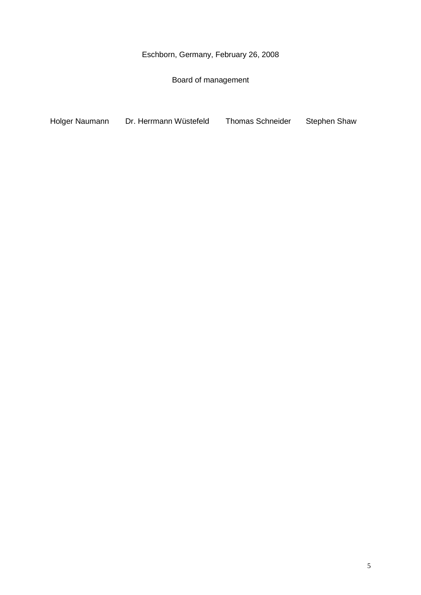Eschborn, Germany, February 26, 2008

Board of management

Holger Naumann Dr. Herrmann Wüstefeld Thomas Schneider Stephen Shaw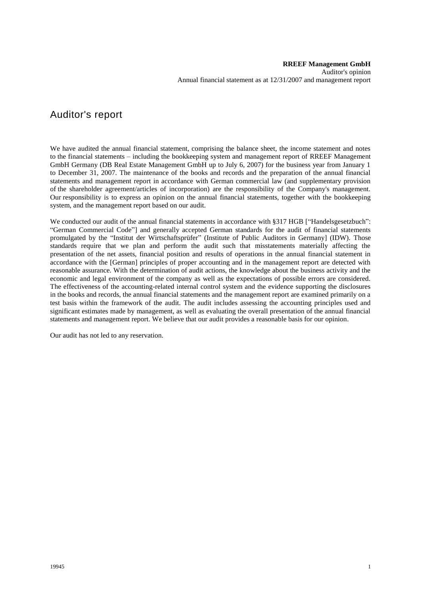# Auditor's report

We have audited the annual financial statement, comprising the balance sheet, the income statement and notes to the financial statements – including the bookkeeping system and management report of RREEF Management GmbH Germany (DB Real Estate Management GmbH up to July 6, 2007) for the business year from January 1 to December 31, 2007. The maintenance of the books and records and the preparation of the annual financial statements and management report in accordance with German commercial law (and supplementary provision of the shareholder agreement/articles of incorporation) are the responsibility of the Company's management. Our responsibility is to express an opinion on the annual financial statements, together with the bookkeeping system, and the management report based on our audit.

We conducted our audit of the annual financial statements in accordance with §317 HGB ["Handelsgesetzbuch": "German Commercial Code"] and generally accepted German standards for the audit of financial statements promulgated by the "Institut der Wirtschaftsprüfer" (Institute of Public Auditors in Germany] (IDW). Those standards require that we plan and perform the audit such that misstatements materially affecting the presentation of the net assets, financial position and results of operations in the annual financial statement in accordance with the [German] principles of proper accounting and in the management report are detected with reasonable assurance. With the determination of audit actions, the knowledge about the business activity and the economic and legal environment of the company as well as the expectations of possible errors are considered. The effectiveness of the accounting-related internal control system and the evidence supporting the disclosures in the books and records, the annual financial statements and the management report are examined primarily on a test basis within the framework of the audit. The audit includes assessing the accounting principles used and significant estimates made by management, as well as evaluating the overall presentation of the annual financial statements and management report. We believe that our audit provides a reasonable basis for our opinion.

Our audit has not led to any reservation.